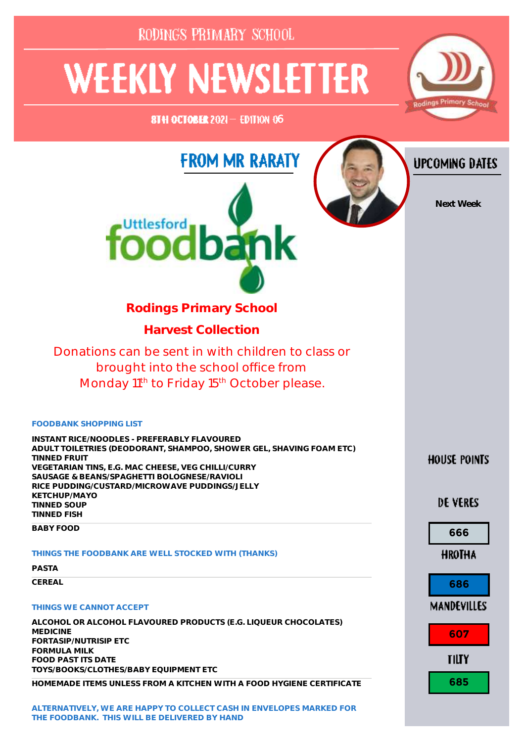| RODINGS PRIMARY SCHOOL                                                                                                                                                                                                                                                                                                            |                                    |
|-----------------------------------------------------------------------------------------------------------------------------------------------------------------------------------------------------------------------------------------------------------------------------------------------------------------------------------|------------------------------------|
| <b>WEEKLY NEWSLETTER</b><br>8TH OCTOBER 2021- EDITION 06                                                                                                                                                                                                                                                                          | Rodings Primary School             |
| <b>FROM MR RARATY</b><br><b>FOOO</b><br><b>Ibank</b>                                                                                                                                                                                                                                                                              | <b>UPCOMING DATES</b><br>Next Week |
| <b>Rodings Primary School</b>                                                                                                                                                                                                                                                                                                     |                                    |
| <b>Harvest Collection</b>                                                                                                                                                                                                                                                                                                         |                                    |
| Donations can be sent in with children to class or<br>brought into the school office from<br>Monday 11 <sup>th</sup> to Friday 15 <sup>th</sup> October please.                                                                                                                                                                   |                                    |
| <b>FOODBANK SHOPPING LIST</b><br>INSTANT RICE MOODLES - PREFERABLY FLAVOURED<br>ADULT TOILETRIES (DEODORANT, SHAMPOO, SHOWER GEL, SHAVING FOAM ETC)<br><b>TINNED FRUIT</b><br>VEGETARIAN TINS, E.G. MAC CHEESE, VEG CHILLI/CURRY<br>SAUSAGE & BEANS/SPAGHETTI BOLOGNESE/RAVIOLI<br>RICE PUDDING/CUSTARD MICROW AVE PUDDINGS/JELLY | <b>HOUSE POINTS</b>                |
| KETCHUP MAYO<br><b>TINNED SOUP</b><br><b>TINNED FISH</b>                                                                                                                                                                                                                                                                          | DE VERES                           |
| <b>BABY FOOD</b>                                                                                                                                                                                                                                                                                                                  | 666                                |
| THINGS THE FOODBANK ARE WELL STOCKED WITH (THANKS)<br><b>PASTA</b>                                                                                                                                                                                                                                                                | <b>HROTHA</b>                      |
| CEREAL                                                                                                                                                                                                                                                                                                                            | 686                                |
| THINGS WE CANNOT ACCEPT                                                                                                                                                                                                                                                                                                           | <b>MANDEVILLES</b>                 |
| ALCOHOL OR ALCOHOL FLAVOURED PRODUCTS (E.G. LIQUEUR CHOCOLATES)<br><b>MEDICINE</b><br>FORTASIP / NUTRISIP ETC<br><b>FORMULA MILK</b><br><b>FOOD PAST ITS DATE</b>                                                                                                                                                                 | 607<br><b>TILTY</b>                |
| TOYS/BOOKS/CLOTHES/BABY EQUIPMENT ETC<br>HOMEMADE ITEMS UNLESS FROM A KITCHEN WITH A FOOD HYGIENE CERTIFICATE                                                                                                                                                                                                                     | 685                                |
|                                                                                                                                                                                                                                                                                                                                   |                                    |

**HOMEMADE ITEMS UNLESS FROM A KITCHEN WITH A FOOD HYGIENE CERTIFICATI<br>ALTERNATIVELY, WE ARE HAPPY TO COLLECT CASH IN ENVELOPES MARKED FOR<br>THE FOODBANK. THIS WILL BE DELIVERED BY HAND THE FOODBANK.** THIS WILL BE DELIVERED BY HAND<br>THE FOODBANK. THIS WILL BE DELIVERED BY HAND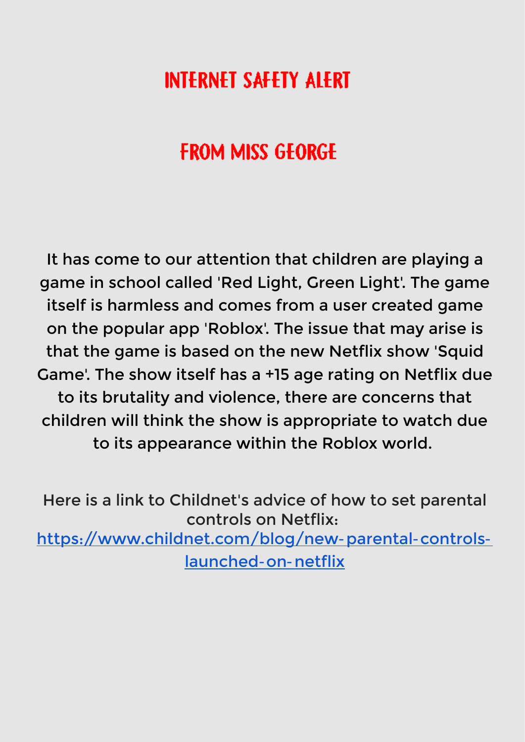# **INTERNET SAFETY ALERT**

# **FROM MISS GEORGE**

It has come to our attention that children are playing a game in school called 'Red Light, Green Light'. The game itself is harmless and comes from a user created game on the popular app 'Roblox'. The issue that may arise is that the game is based on the new Netflix show 'Squid Game'. The show itself has a +15 age rating on Netflix due to its brutality and violence, there are concerns that children will think the show is appropriate to watch due to its appearance within the Roblox world.

Here is a link to Childnet's advice of how to set parental controls on Netflix: [https://www.childnet.com/blog/new-parental-controls](https://www.childnet.com/blog/new-parental-controls-launched-on-netflix)[launched-on-netflix](https://www.childnet.com/blog/new-parental-controls-launched-on-netflix)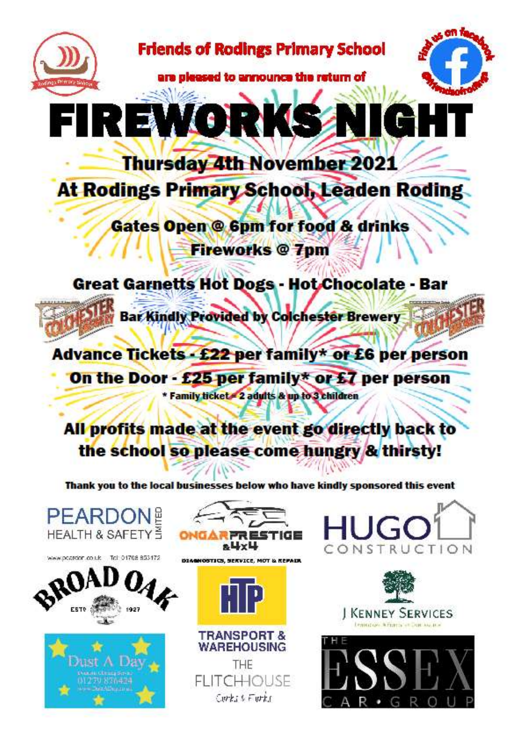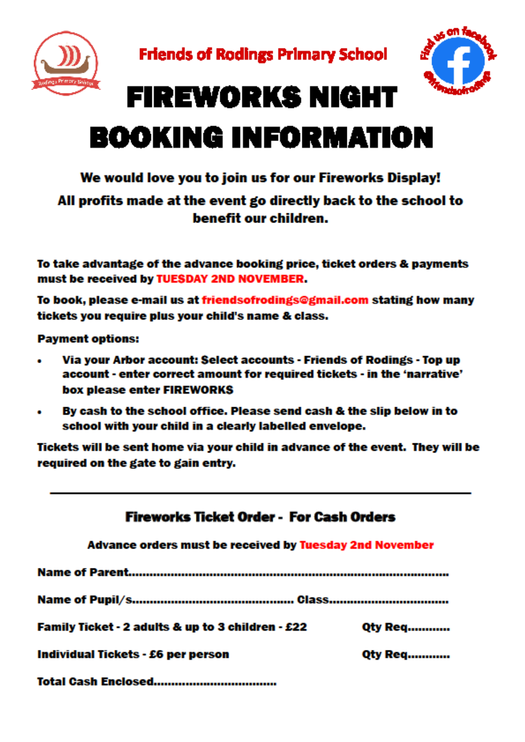



# **FIREWORKS NIGHT BOOKING INFORMATION**

### We would love you to join us for our Fireworks Display!

#### All profits made at the event go directly back to the school to benefit our children.

To take advantage of the advance booking price, ticket orders & payments must be received by TUESDAY 2ND NOVEMBER.

To book, please e-mail us at friendsofrodings@gmail.com stating how many tickets you require plus your child's name & class.

**Payment options:** 

- Via your Arbor account: Select accounts Friends of Rodings Top up  $\bullet$ account - enter correct amount for required tickets - in the 'narrative' box please enter FIREWORKS
- By cash to the school office. Please send cash & the slip below in to  $\bullet$ school with your child in a clearly labelled envelope.

Tickets will be sent home via your child in advance of the event. They will be required on the gate to gain entry.

| Fireworks Ticket Order - For Cash Orders                |                |
|---------------------------------------------------------|----------------|
| Advance orders must be received by Tuesday 2nd November |                |
|                                                         |                |
|                                                         |                |
| Family Ticket - 2 adults & up to 3 children - £22       | <b>Qty Req</b> |
| Individual Tickets - £6 per person                      | <b>Qty Req</b> |
| Total Caeh Enclosed                                     |                |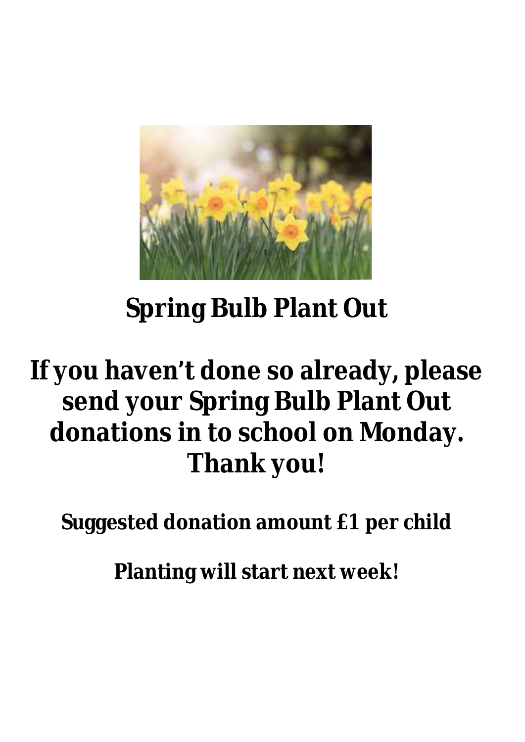

# **Spring Bulb Plant Out**

# **If you haven't done so already, please send your Spring Bulb Plant Out donations in to school on Monday. Thank you!**

**Suggested donation amount £1 per child**

**Planting will start next week!**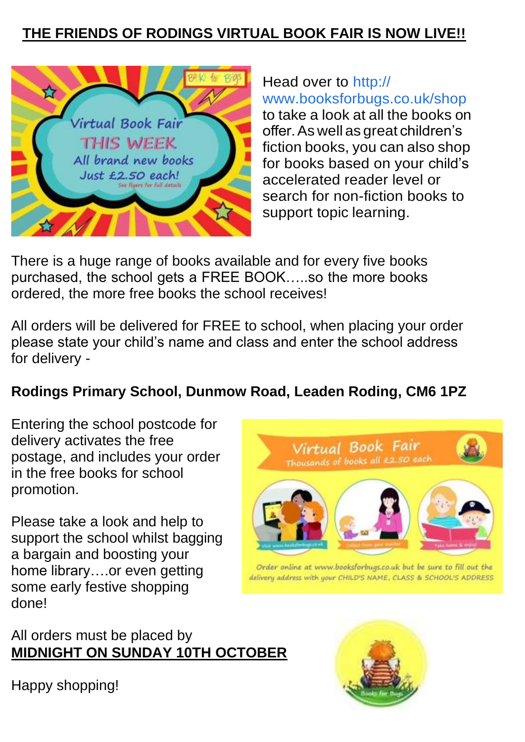## **THE FRIENDS OF RODINGS VIRTUAL BOOK FAIR IS NOW LIVE!!**



Head over to http:// www.booksforbugs.co.uk/shop to take a look at all the books on offer.As well as great children's fiction books, you can also shop for books based on your child's accelerated reader level or search for non-fiction books to support topic learning.

There is a huge range of books available and for every five books purchased, the school gets a FREE BOOK…..so the more books ordered, the more free books the school receives!

All orders will be delivered for FREE to school, when placing your order please state your child's name and class and enter the school address for delivery -

### **Rodings Primary School, Dunmow Road, Leaden Roding, CM6 1PZ**

Entering the school postcode for delivery activates the free postage, and includes your order in the free books for school promotion.

Please take a look and help to support the school whilst bagging a bargain and boosting your home library….or even getting some early festive shopping done!

All orders must be placed by **MIDNIGHT ON SUNDAY 10TH OCTOBER**



Order online at www.booksforbugs.co.uk but be sure to fill out the delivery address with your CHILD'S NAME, CLASS & SCHOOL'S ADDRESS





Happy shopping!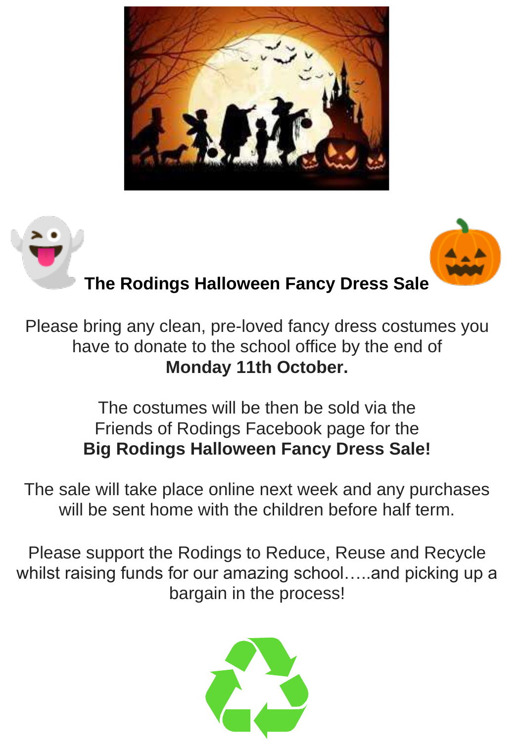





## **The Rodings Halloween Fancy Dress Sale**

Please bring any clean, pre-loved fancy dress costumes you have to donate to the school office by the end of **Monday 11th October.**

## The costumes will be then be sold via the Friends of Rodings Facebook page for the **Big Rodings Halloween Fancy Dress Sale!**

The sale will take place online next week and any purchases will be sent home with the children before half term.

Please support the Rodings to Reduce, Reuse and Recycle whilst raising funds for our amazing school…..and picking up a bargain in the process!